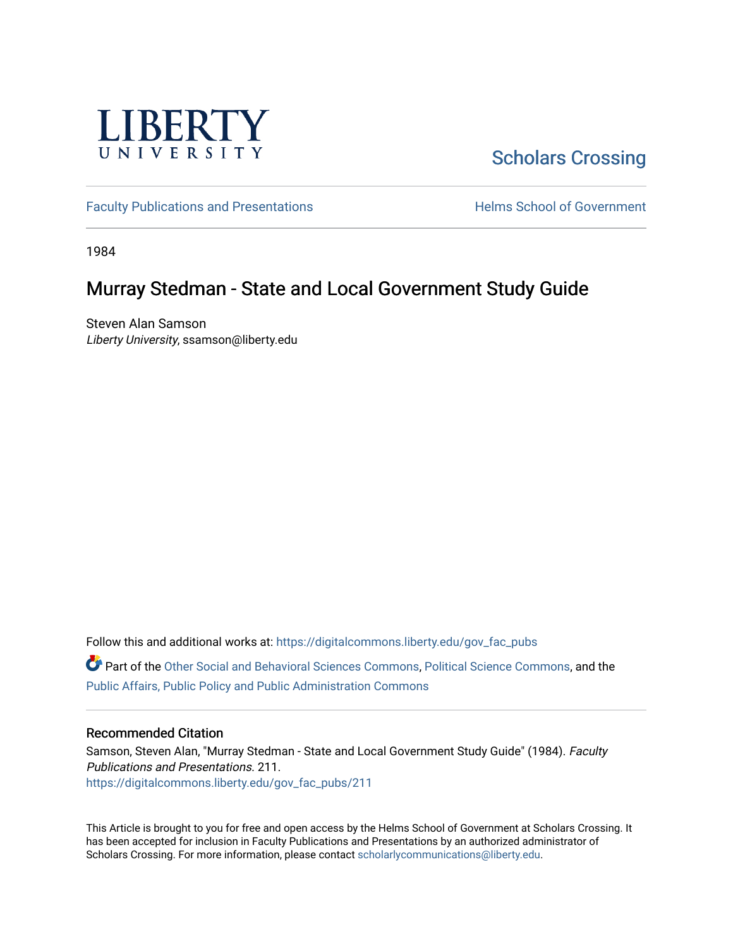

# [Scholars Crossing](https://digitalcommons.liberty.edu/)

[Faculty Publications and Presentations](https://digitalcommons.liberty.edu/gov_fac_pubs) **Exercise School of Government** 

1984

## Murray Stedman - State and Local Government Study Guide

Steven Alan Samson Liberty University, ssamson@liberty.edu

Follow this and additional works at: [https://digitalcommons.liberty.edu/gov\\_fac\\_pubs](https://digitalcommons.liberty.edu/gov_fac_pubs?utm_source=digitalcommons.liberty.edu%2Fgov_fac_pubs%2F211&utm_medium=PDF&utm_campaign=PDFCoverPages)

Part of the [Other Social and Behavioral Sciences Commons](http://network.bepress.com/hgg/discipline/437?utm_source=digitalcommons.liberty.edu%2Fgov_fac_pubs%2F211&utm_medium=PDF&utm_campaign=PDFCoverPages), [Political Science Commons](http://network.bepress.com/hgg/discipline/386?utm_source=digitalcommons.liberty.edu%2Fgov_fac_pubs%2F211&utm_medium=PDF&utm_campaign=PDFCoverPages), and the [Public Affairs, Public Policy and Public Administration Commons](http://network.bepress.com/hgg/discipline/393?utm_source=digitalcommons.liberty.edu%2Fgov_fac_pubs%2F211&utm_medium=PDF&utm_campaign=PDFCoverPages)

## Recommended Citation

Samson, Steven Alan, "Murray Stedman - State and Local Government Study Guide" (1984). Faculty Publications and Presentations. 211. [https://digitalcommons.liberty.edu/gov\\_fac\\_pubs/211](https://digitalcommons.liberty.edu/gov_fac_pubs/211?utm_source=digitalcommons.liberty.edu%2Fgov_fac_pubs%2F211&utm_medium=PDF&utm_campaign=PDFCoverPages)

This Article is brought to you for free and open access by the Helms School of Government at Scholars Crossing. It has been accepted for inclusion in Faculty Publications and Presentations by an authorized administrator of Scholars Crossing. For more information, please contact [scholarlycommunications@liberty.edu.](mailto:scholarlycommunications@liberty.edu)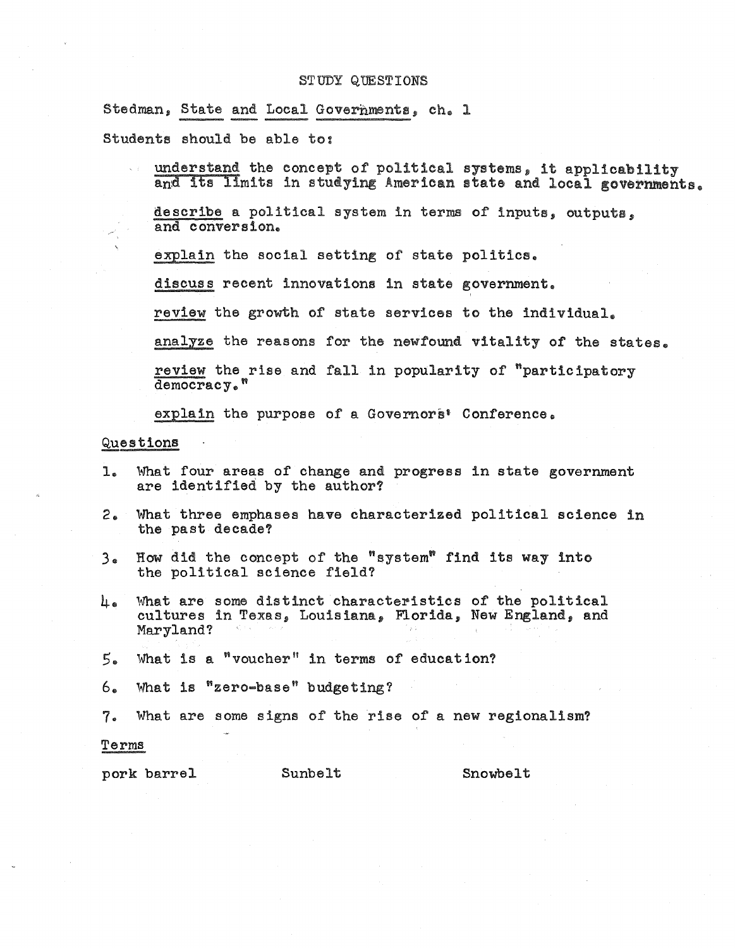Stedman, State and Local Governments, ch. 1

Students should be able to:

understand the concept of political systems, it applicability and its limits in studying American state and local governments.

describe a political system in terms of inputs, outputs, and conversion.

explain the social setting of state politics.

discuss recent innovations in state government.

review the growth of state services to the individual.

analyze the reasons for the newfound vitality of the states.

review the rise and fall in popularity of  $"participatory$  $\overline{democracy}$ ."

explain the purpose of a Governors' Conference.

## Questions

- 1 .. What four areas of change and progress in state government are identified by the author?
- $2<sup>2</sup>$ What three emphases have characterized political science in the past decade?
- How did the concept of the "system" find its way into  $3<sub>a</sub>$ the political science field?
- What are some distinct characteristics of the political cultures in Texas, Louisiana, Florida, New England, and ⊥。 Maryland?
- $5.$ What is a "voucher" in terms of education?

6. What is  $"zero-base"$  budgeting?

7. What are some signs of the rise of a new regionalism?

#### Terms

pork barrel Sunbelt Showbelt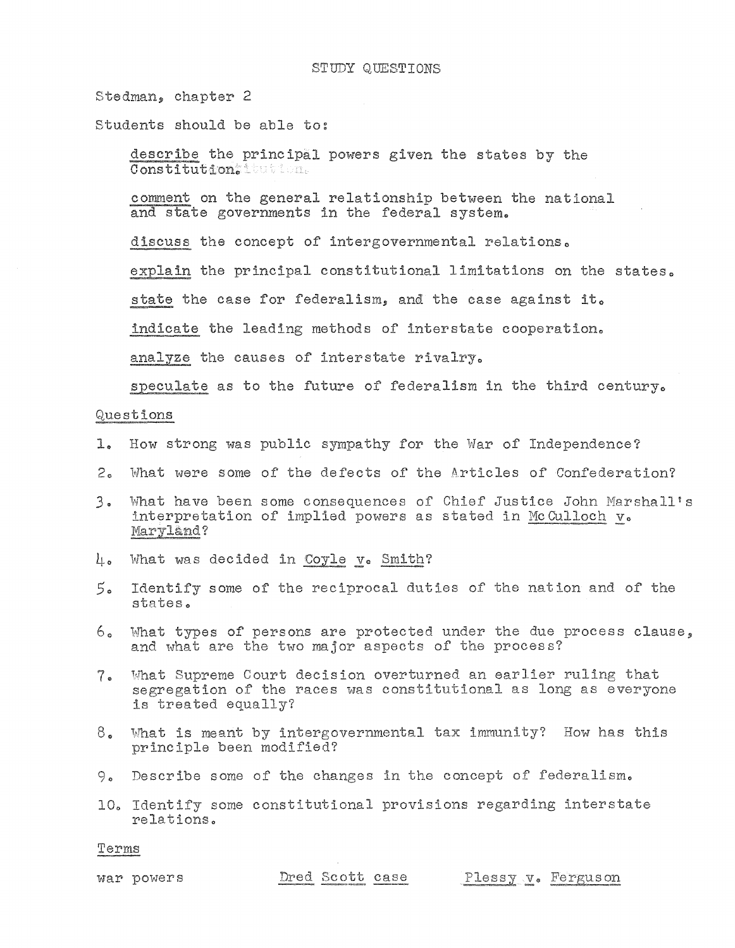Stedman, chapter 2

Students should be able to:

describe the principal powers given the states by the Constitution: tution.

comment on the general relationship between the national and state governments in the federal system.

discuss the concept of intergovernmental relations.

explain the principal constitutional limitations on the states.

state the case for federalism, and the case against it.

indicate the leading methods of interstate cooperation.

analyze the causes of interstate rivalry.

speculate as to the future of federalism in the third century.

## Questions

- How strong was public sympathy for the War of Independence? 1.
- What were some of the defects of the Articles of Confederation?  $2<sub>o</sub>$
- What have been some consequences of Chief Justice John Marshall's  $3<sub>o</sub>$ interpretation of implied powers as stated in McCulloch v. Maryland?
- 4. What was decided in Coyle v. Smith?
- $5.5$ Identify some of the reciprocal duties of the nation and of the states.
- What types of persons are protected under the due process clause, 6. and what are the two major aspects of the process?
- What Supreme Court decision overturned an earlier ruling that 7. segregation of the races was constitutional as long as everyone is treated equally?
- What is meant by intergovernmental tax immunity? How has this 8. principle been modified?
- 9. Describe some of the changes in the concept of federalism.
- 10. Identify some constitutional provisions regarding interstate relations.

Terms

war powers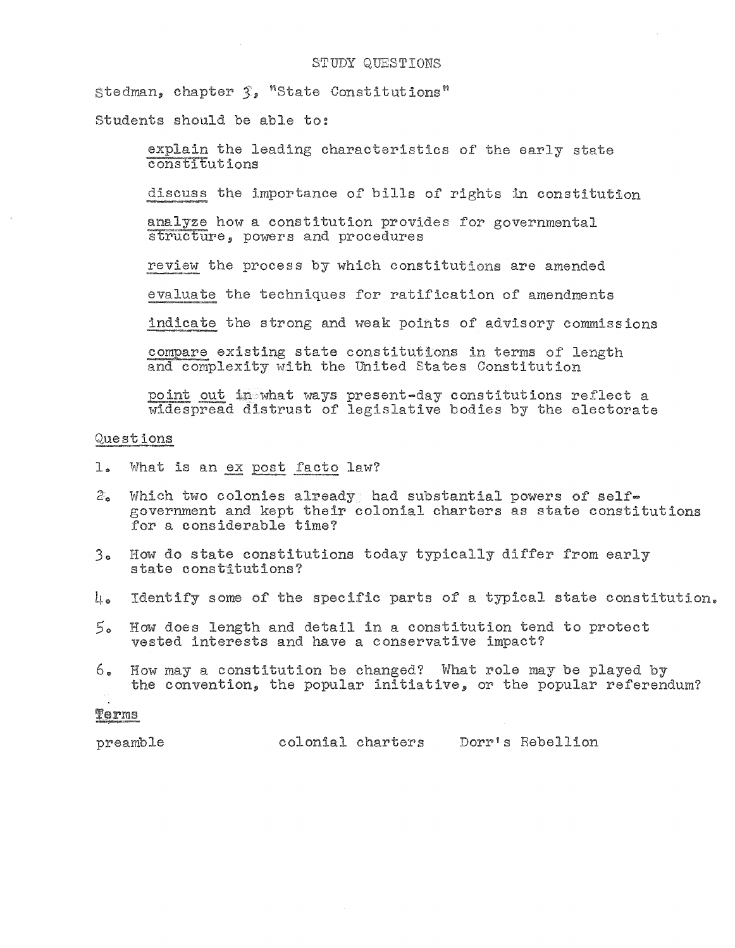Stedman, chapter 3, "State Constitutions"

Students should be able to:

explain the leading characteristics of the early state  $\overline{\text{const}}$ tutions

discuss the importance of bills of rights in constitution

analyze how a constitution provides for governmental structure, powers and procedures

review the process by which constitutions are amended

evaluate the techniques for ratification of amendments

indicate the strong and weak points of advisory commissions

compare existing state constitutions in terms of length and complexity with the United States Constitution

point out in what ways present-day constitutions reflect a widespread distrust of legislative bodies by the electorate

## Questions

- $l_{\bullet}$ What is an ex post facto law?
- Which two colonies already had substantial powers of self- $\mathcal{Z}_{\mathbf{a}}$ government and kept their colonial charters as state constitutions for a considerable time?
- 3. How do state constitutions today typically differ from early state constitutions?
- $\mu_{\bullet}$  Identify some of the specific parts of a typical state constitution.
- 5. How does length and detail in a constitution tend to protect vested interests and have a conservative impact?
- How may a constitution be changed? What role may be played by 6. the convention, the popular initiative, or the popular referendum?

#### Terms

colonial charters Dorr's Rebellion

preamble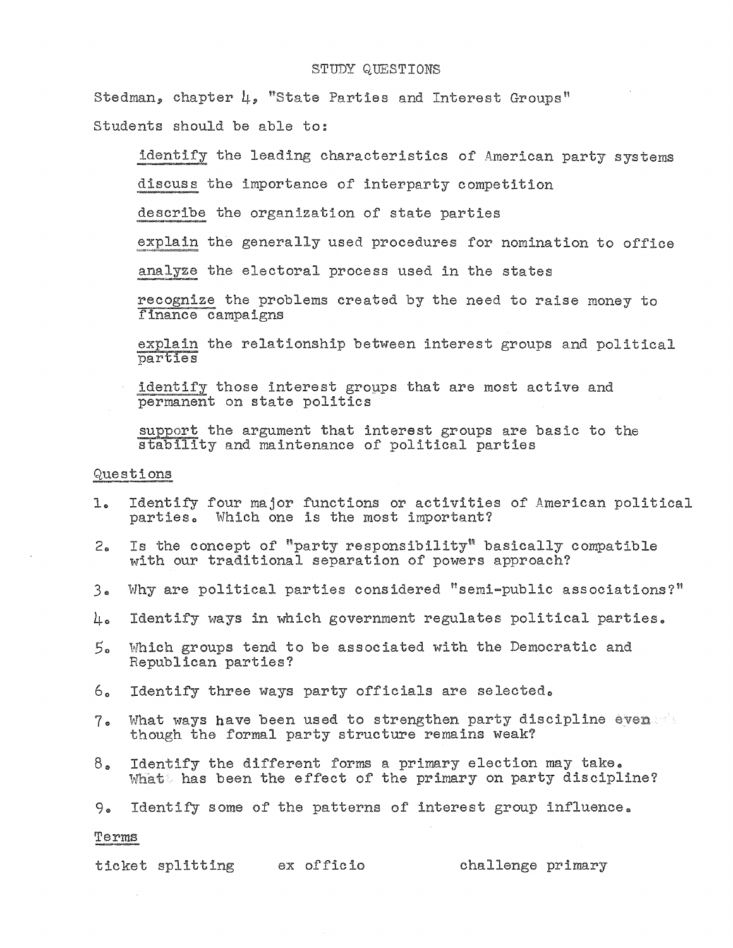Stedman, chapter  $\mu$ , "State Parties and Interest Groups"

Students should be able to:

identify the leading characteristics of American party systems

discuss the importance of interparty competition

describe the organization of state parties

explain the generally used procedures for nomination to office

analyze the electoral process used in the states

recognize the problems created by the need to raise money to finance campaigns

explain the relationship between interest groups and political parties

identify those interest groups that are most active and permanent on state politics

support the argument that interest groups are basic to the stability and maintenance of political parties

## Questions

- $1.$ Identify four major functions or activities of American political parties. Which one is the most important?
- Is the concept of "party responsibility" basically compatible  $2.5$ with our traditional separation of powers approach?
- Why are political parties considered "semi-public associations?"  $3<sub>o</sub>$
- Identify ways in which government regulates political parties. 4.
- $5a$ Which groups tend to be associated with the Democratic and Republican parties?
- 6. Identify three ways party officials are selected.
- What ways have been used to strengthen party discipline even  $7\degree$ though the formal party structure remains weak?
- Identify the different forms a primary election may take.  $8<sub>o</sub>$ What has been the effect of the primary on party discipline?

9. Identify some of the patterns of interest group influence.

#### Terms

ticket splitting ex officio challenge primary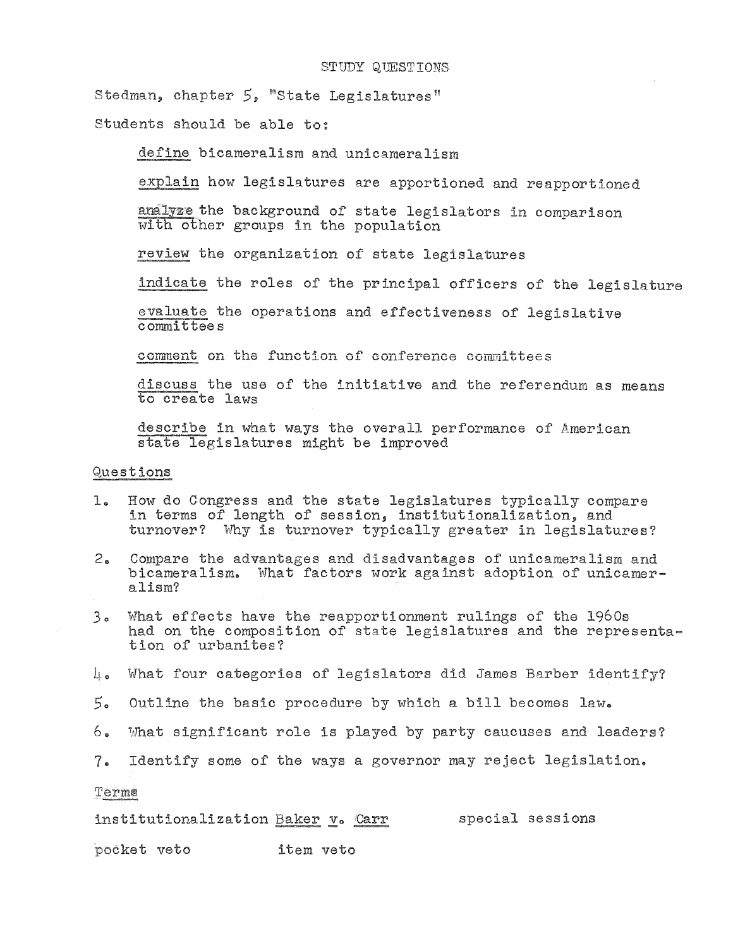Stedman, chapter 5, "State Legislatures"

Students should be able to:

define bicameralism and unicameralism

explain how legislatures are apportioned and reapportioned

analyze the background of state legislators in comparison with other groups in the population

review the organization of state legislatures

indicate the roles of the principal officers of the legislature

evaluate the operations and effectiveness of legislative committees

comment on the function of conference committees

discuss the use of the initiative and the referendum as means to create laws

describe in what ways the overall performance of American state legislatures might be improved

## Questions

- 1. How do Congress and the state legislatures typically compare in terms of length of session, institutionalization, and turnover? Why is turnover typically greater in legislatures?
- 2. Compare the advantages and disadvantages of unicameralism and bicameralism. What factors work against adoption of unicameralism?
- 3. What effects have the reapportionment rulings of the 1960s had on the composition of state legislatures and the representation of urbanites?
- $\mu_{\bullet}$  What four categories of legislators did James Barber identify?
- 50 Outline the basic procedure by which a bill becomes law.
- 6. What significant role is played by party caucuses and leaders?
- 7. Identify some of the ways a governor may reject legislation.

Terme

institutionalization Baker v. Carr special sessions

pocket veto item veto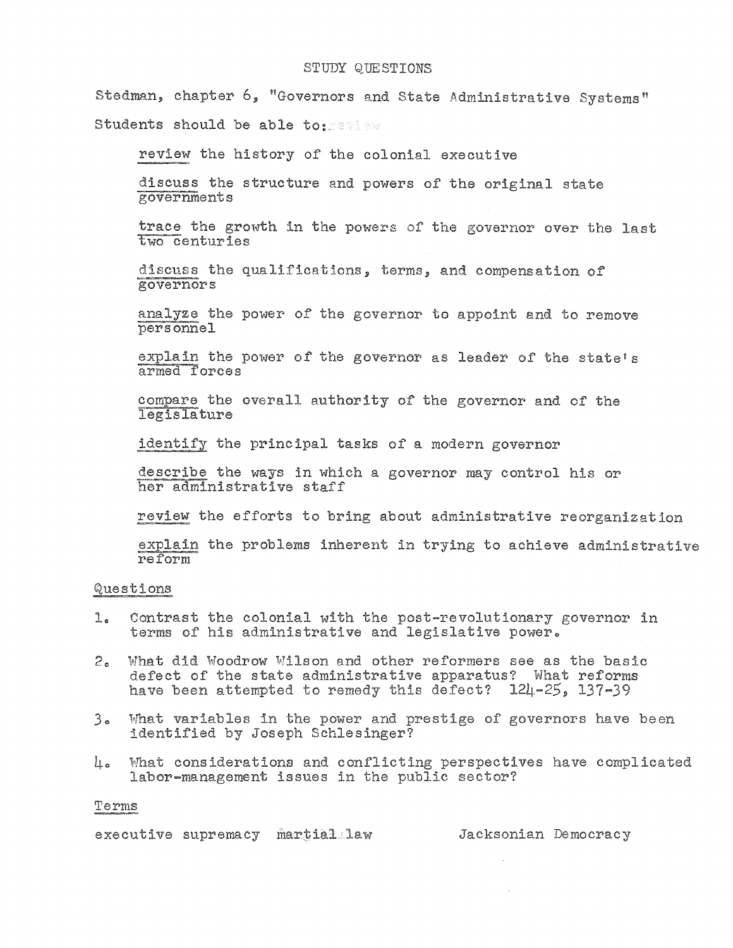Stedman, chapter 6, "Governors and State Administrative Systems" Students should be able to:

review the history of the colonial executive

discuss the structure and powers of the original state governments

trace the growth in the powers of the governor over the last two centuries

discuss the qualifications, terms, and compensation of governors

analyze the power of the governor to appoint and to remove personnel

explain the power of the governor as leader of the state's armed forces

compare the overall authority of the governor and of the legislature

identify the principal tasks of a modern governor

describe the ways in which a governor may control his or her administrative staff

review the efforts to bring about administrative reorganization

explain the problems inherent in trying to achieve administrative reform

## Questions

- Contrast the colonial with the post-revolutionary governor in  $1.$ terms of his administrative and legislative power.
- What did Woodrow Wilson and other reformers see as the basic  $2.5$ defect of the state administrative apparatus? What reforms have been attempted to remedy this defect? 124-25, 137-39
- 3. What variables in the power and prestige of governors have been identified by Joseph Schlesinger?
- What considerations and conflicting perspectives have complicated 40 labor-management issues in the public sector?

#### Terms

executive supremacy martial law

Jacksonian Democracy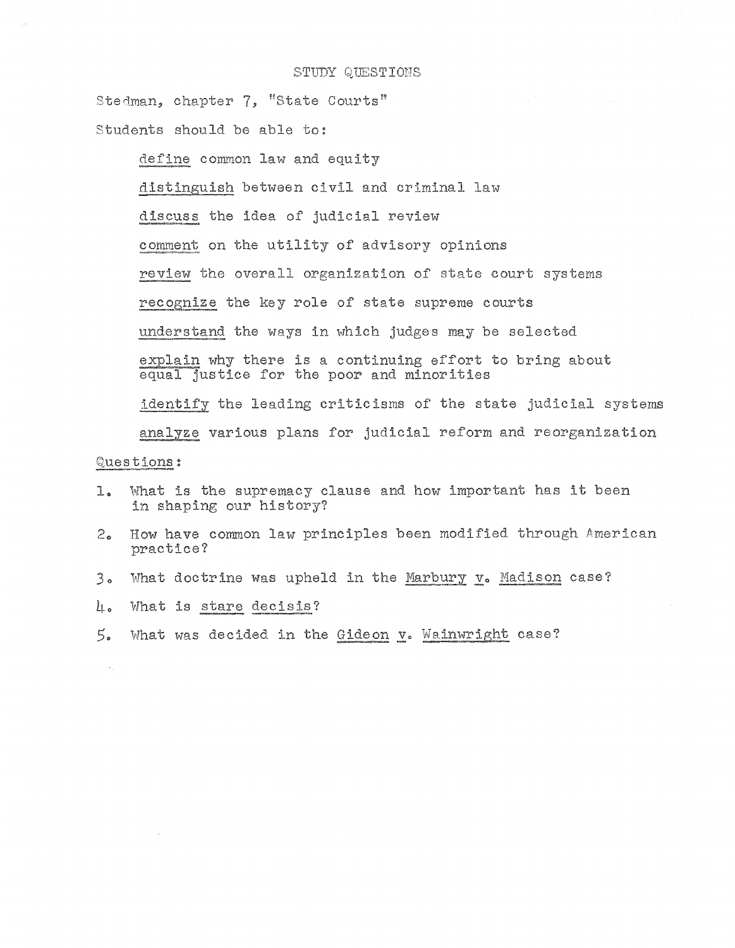Stedman, chapter 7, "State Courts"

Students should be able to:

define common law and equity distinguish between civil and criminal law discuss the idea of judicial review comment on the utility of advisory opinions review the overall organization of state court systems recognize the key role of state supreme courts understand the ways in which judges may be selected explain why there is a continuing effort to bring about equal justice for the poor and minorities

analyze various plans for judicial reform and reorganization Questions:

identify the leading criticisms of the state judicial systems

- What is the supremacy clause and how important has it been l. in shaping our history?
- How have common law principles been modified through American  $2<sub>0</sub>$ practice?
- $3<sub>o</sub>$ What doctrine was upheld in the Marbury v. Madison case?
- What is stare decisis? L.
- $5.$ What was decided in the Gideon v. Wainwright case?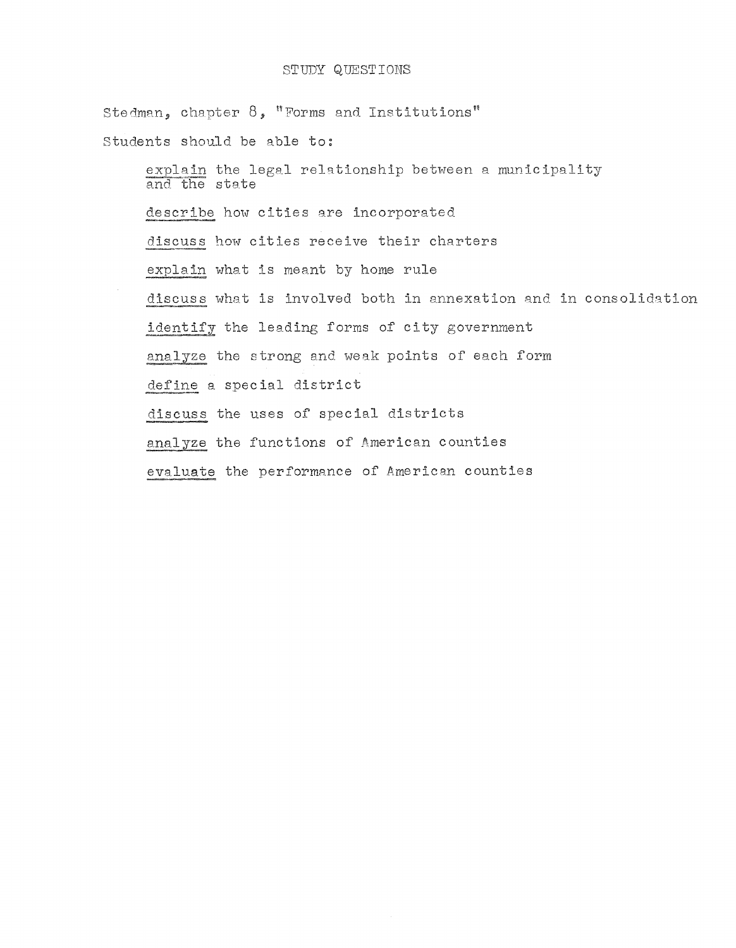Stedman, chapter  $8$ , "Forms and Institutions" Students should be able to: explain the legal relationship between a municipality and the state describe how cities are incorporated discuss how cities receive their charters explain what is meant by home rule discuss what is involved both in annexation and in consolidation identify the leading forms of city government analyze the strong and weak points of each form define a special district discuss the uses of special districts analyze the functions of American counties evaluate the performance of American counties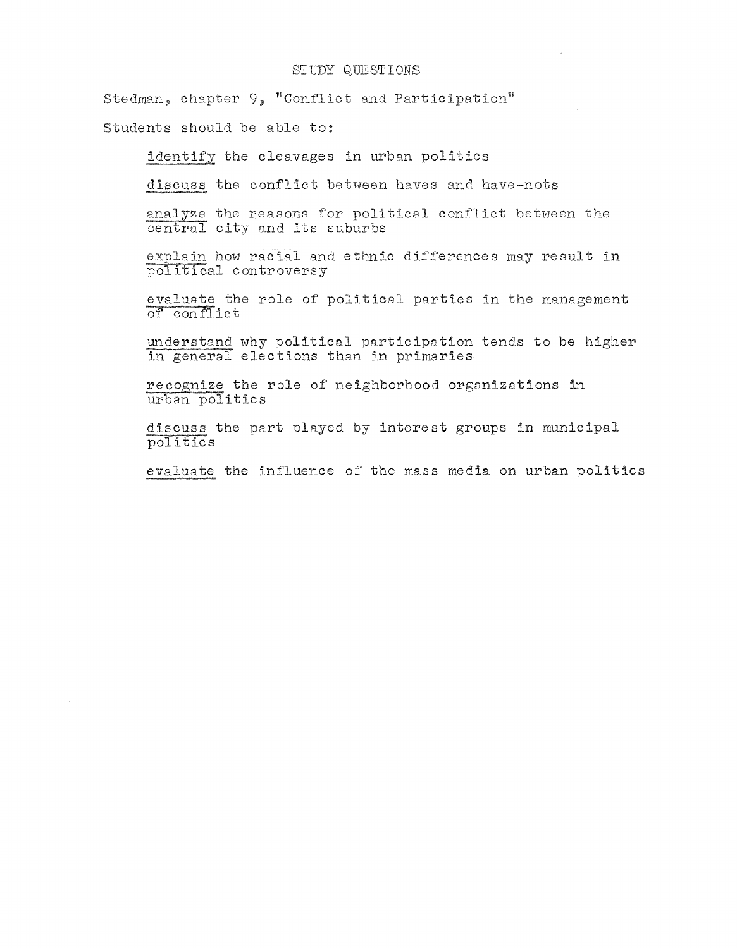Stedman, chapter  $9$ , "Conflict and Participation"

students should be able to:

identify the cleavages in urban politics

discuss the conflict between haves and have-nots

analyze the reasons for political conflict between the central city and its suburbs

explain how racial and ethnic differences may result in political controversy

evaluate the role of political parties in the management of conflict

understand why political participation tends to be higher in general elections than in primaries

recognize the role of neighborhood organizations in urban politics

discuss the part played by interest groups in municipal poli tics

evaluate the influence of the mass media on urban politics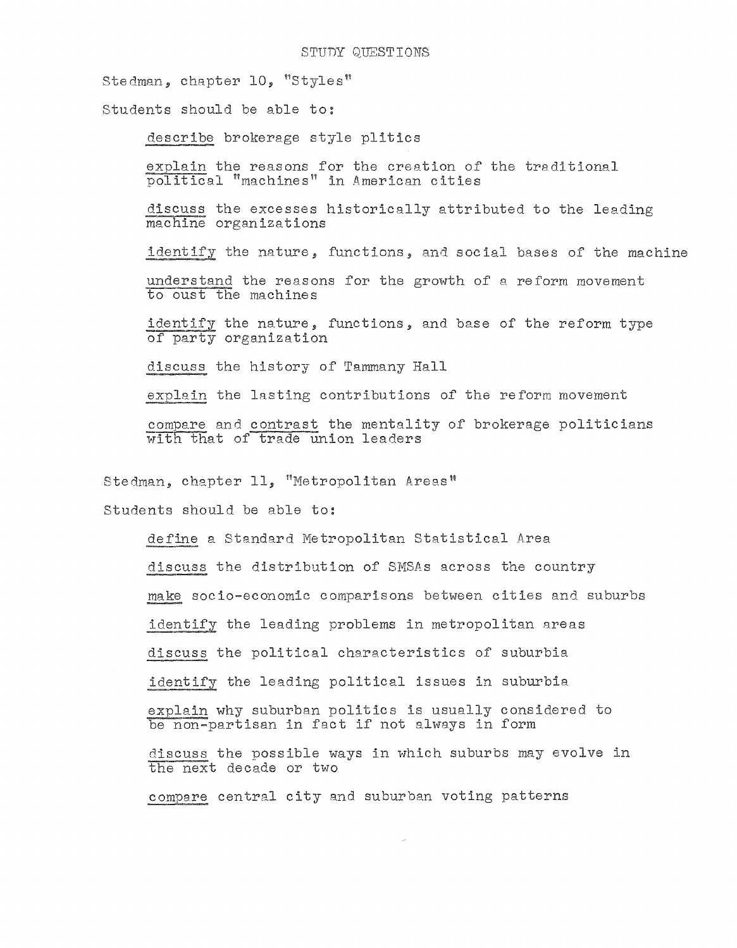Stedman, chapter 10, "Styles"

Students should be able to:

describe brokerage style plitics

explain the reasons for the creation of the traditional political "machines" in American cities

discuss the excesses historically attributed to the leading machine organizations

identify the nature, functions, and social bases of the machine

understand the reasons for the growth of a reform movement to oust the machines

identify the nature, functions, and base of the reform type of party organization

discuss the history of Tammany Hall

explain the lasting contributions of the reform movement

compare and contrast the mentality of brokerage politicians with that of trade union leaders

Stedman, chapter 11, "Metropolitan Areas"

students should be able to:

define a Standard Metropolitan Statistical Area

discuss the distribution of SMSAs across the country

make socio-economic comparisons between cities and suburbs

identify the leading problems in metropolitan areas

discuss the political characteristics of suburbia

identify the leading political issues in suburbia

explain why suburban politics is usually considered to be non-partisan in fact if not always in form

discuss the possible ways in which suburbs may evolve in the next decade or two

compare central city and suburban voting patterns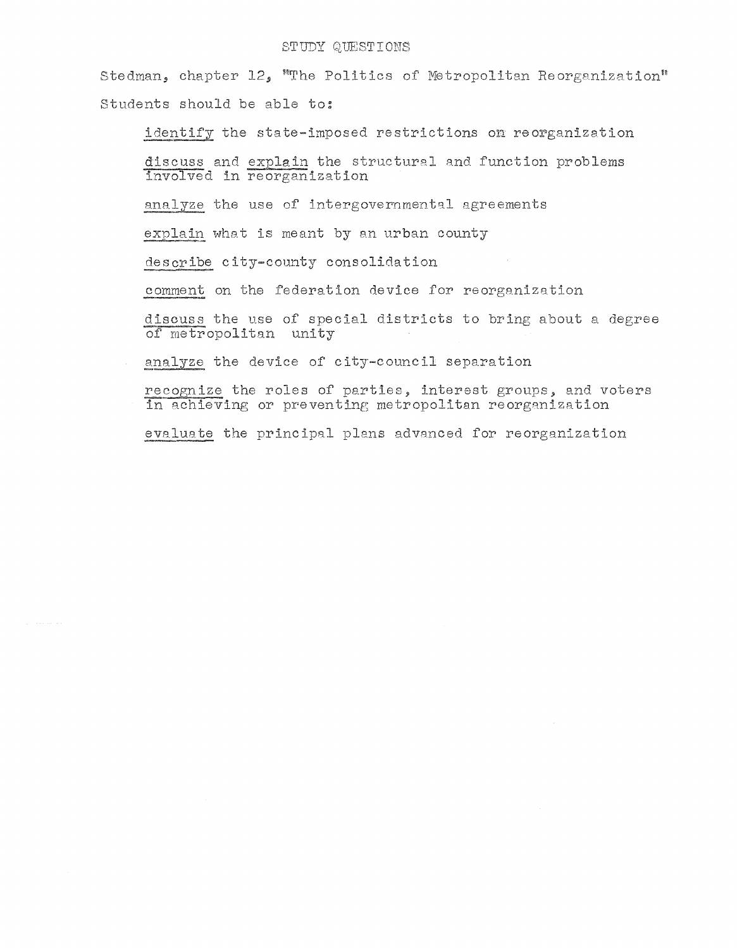Stedman, chapter 12, "The Politics of Metropolitan Reorganization" Students should be able to:

identify the state-imposed restrictions on reorganization

discuss and explain the structural and function problems involved in reorganization

analyze the use of intergovernmental agreements

explain what is meant by an urban county

describe city-county consolidation

comment on the federation device for reorganization

discuss the use of special districts to bring about a degree of metropolitan unity

analyze the device of city-council separation

recognize the roles of parties, interest groups, and voters in achieving or preventing metropolitan reorganization

evaluate the principal plans advanced for reorganization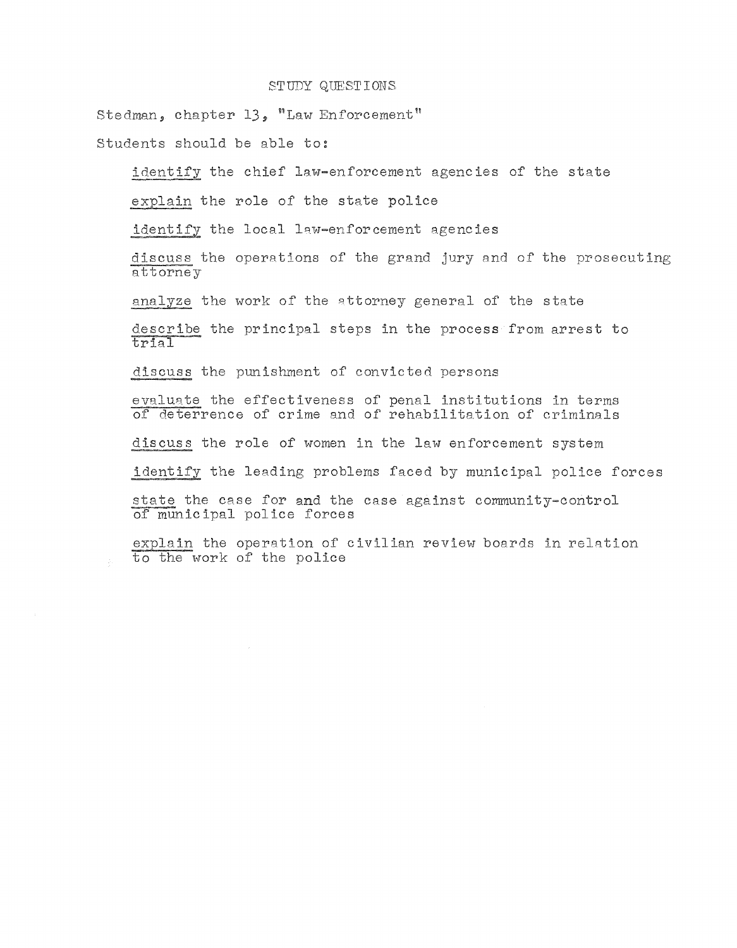Stedman, chapter 13, "Law Enforcement"

Students should be able to:

identify the chief law-enforcement agencies of the state

explain the role of the state police

identify the local law-enforcement agencies

discuss the operations of the grand jury and of the prosecuting attorney

analyze the work of the attorney general of the state

describe the principal steps in the process from arrest to trial

discuss the punishment of convicted persons

evaluate the effectiveness of penal institutions in terms of deterrence of crime and of rehabilitation of criminals

discuss the role of women in the law enforcement system

identify the leading problems faced by municipal police forces

state the case for and the case against community-control of municipal police forces

explain the operation of civilian review boards in relation to the work of the police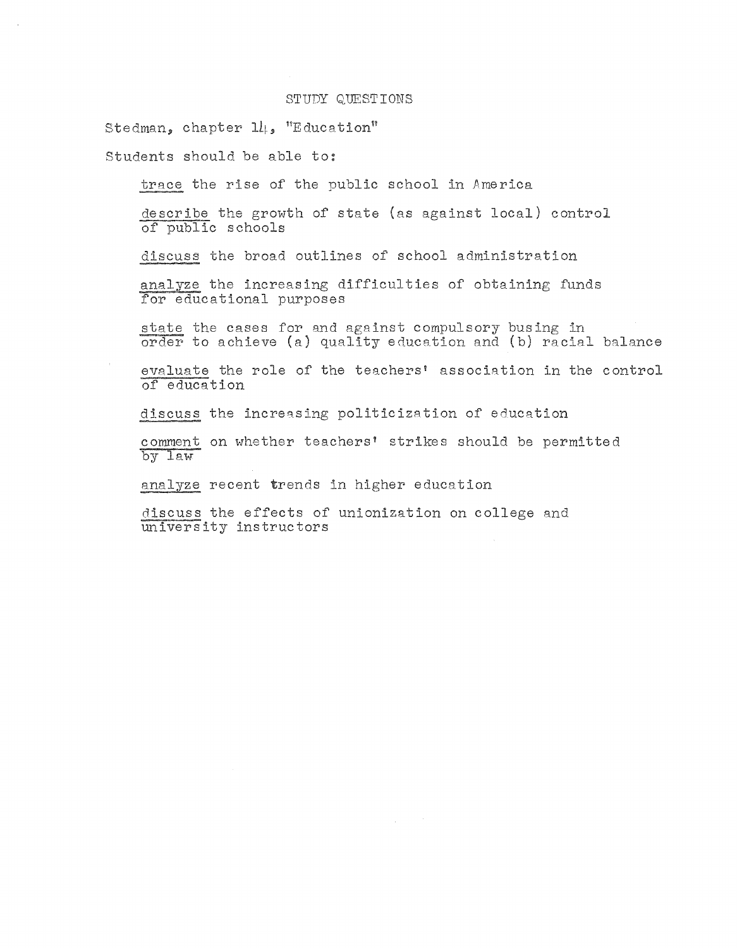Stedman, chapter  $1l_1$ , "Education"

Students should be able to:

trace the rise of the public school in America

describe the growth of state (as against local) control of public schools

discuss the broad outlines of school administration

analyze the increasing difficulties of obtaining funds for educational purposes

state the cases for and against compulsory busing in order to achieve (a) quality education and (b) racial balance

evaluate the role of the teachers' association in the control of education

discuss the increasing politicization of education

comment on whether teachers' strikes should be permitted by law

analyze recent trends in higher education

discuss the effects of unionization on college and university instructors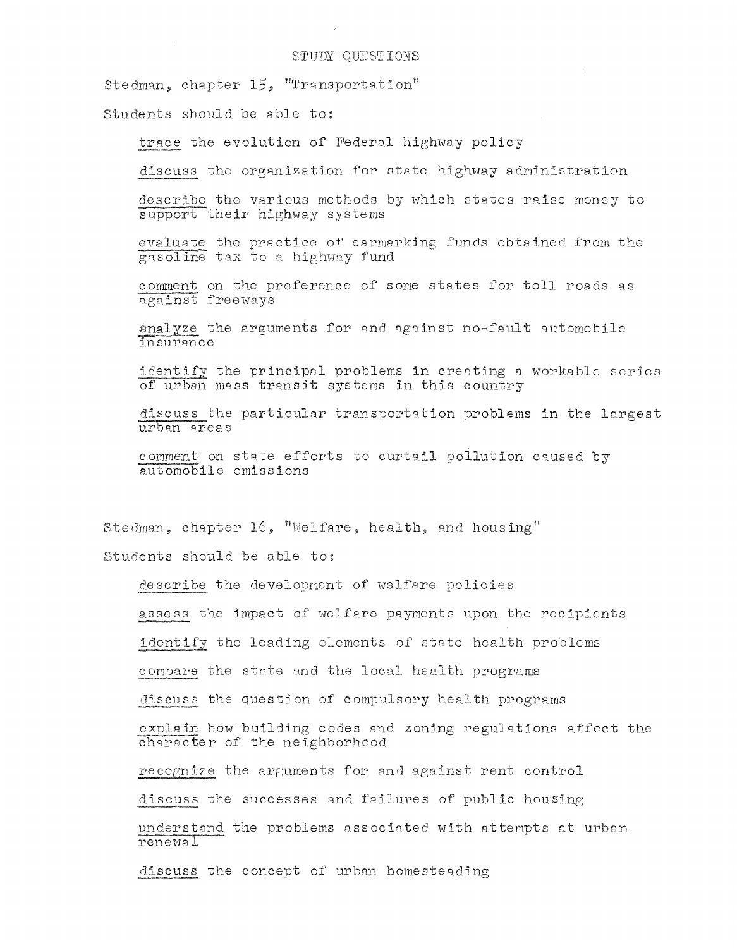Stedman, chapter 15, "Transportation"

Students should be able to:

trace the evolution of Federal highway policy

discuss the organization for state highway administration

describe the various methods by which states raise money to support their highway systems

evaluate the practice of earmarking funds obtained from the gasoline tax to a highway fund

comment on the preference of some states for toll roads as against freeways

analyze the arguments for and against no-fault automobile insurance

identify the principal problems in creating a workable series of urban mass transit systems in this country

discuss the particular transportation problems in the largest urban areas

comment on state efforts to curtail pollution caused by automobile emissions

Stedman, chapter 16, "Welfare, health, and housing"

Students should be able to:

describe the development of welfare policies

assess the impact of welfare payments upon the recipients

identify the leading elements of state health problems

compare the state and the local health programs

discuss the question of compulsory health programs

explain how building codes and zoning regulations affect the character of the neighborhood

recognize the arguments for and against rent control

discuss the successes and failures of public housing

understand the problems associated with attempts at urban renewal

discuss the concept of urban homesteading